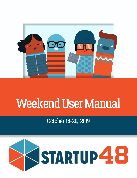

# Weekend User Manual

October 18-20, 2019

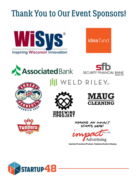## Thank You to Our Event Sponsors!













WELD RILEY<sub>sc</sub>





MAKING AN IMPACT STARTS HERE!



**Imprinted Promotional Products, Tradeshow Booths & Displays** 

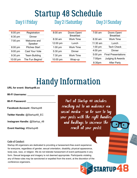## Startup 48 Schedule

| 6:00 pm   | Registration           |
|-----------|------------------------|
| $6:30$ pm | Dinner                 |
| 7:00 pm   | Welcome and<br>Speaker |
| 8:00 pm   | <b>Pitches Start</b>   |
| $9:00$ pm | Cast Your Vote         |
| 9:30 pm   | <b>Team Building</b>   |
| 10:00 pm  | The Fun Begins!        |

### Day 1 | Friday Day 2 | Saturday Day 3 | Sunday

| $8:00$ am | Doors Open/<br><b>Breakfast</b> |
|-----------|---------------------------------|
| $8:30$ am | Work Time                       |
| 12:00 pm  | Lunch                           |
| $1:00$ pm | <b>Work Time</b>                |
| 5:30 pm   | Dinner                          |
| 7:30 pm   | Work Time                       |
| 10:00 pm  | Wrap-up                         |

| $7:00 \text{ am}$ | Doors Open/<br><b>Breakfast</b> |
|-------------------|---------------------------------|
| $8:30 \text{ am}$ | Work Time                       |
| 11:30 am          | Lunch                           |
| 1:00 pm           | <b>Tech Check</b>               |
| $4:00$ pm         | Dinner                          |
| 5:00 pm           | <b>Final Presentations</b>      |
| $7:00$ pm         | Judging & Awards                |
| 8:30pm            | <b>After Party</b>              |

ARTUP ${\bf 48}$ 

## Handy Information

**URL for event: Startup48.co**

Wi-Fi Username:

**Wi-Fi Password:** \_\_\_\_\_\_\_\_\_\_\_\_\_\_\_\_\_\_\_\_\_

**Facebook Account:** /Startup48

**Twitter Handle:** @Startup48\_EC

**Instagram Handle: @Startup 48** 

**Event Hashtag:** #Startup48

Part of Startup 48 includes reaching out to an audience via social media - so be sure to tag your posts with the right handles and hashtags to increase the reach of your posts!

2

#### Code of Conduct

Startup 48 organizers are dedicated to providing a harassment-free event experience for everyone, regardless of gender, sexual orientation, disability, physical appearance, body size, race, or religion. We do not tolerate harassment of event participants in any form. Sexual language and imagery is not deemed appropriate. Participants violating any of these rules may be sanctioned or expelled from the event, at the discretion of the conference organizers.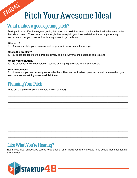## Pitch Your Awesome Idea!

### What makes a good opening pitch?

Startup 48 kicks off with everyone getting 60 seconds to sell their awesome idea destined to become better than sliced bread. 60 seconds is not enough time to explain your idea in detail so focus on generating excitement about your idea and motivating others to get on board!

#### **Who am I?**

FRIDAY

5 - 10 seconds: state your name as well as your unique skills and knowledge.

#### **What's the problem?**

10 - 20 seconds: describe the problem simply and in a way that the audience can relate to.

#### **What's your solution?**

10 - 20 seconds: make your solution realistic and highlight what is innovative about it.

#### **Who do you need?**

5 - 10 seconds: you are currently surrounded by brilliant and enthusiastic people - who do you need on your team to make something awesome? Tell them!

 $\_$  , and the set of the set of the set of the set of the set of the set of the set of the set of the set of the set of the set of the set of the set of the set of the set of the set of the set of the set of the set of th

 $\_$  , and the set of the set of the set of the set of the set of the set of the set of the set of the set of the set of the set of the set of the set of the set of the set of the set of the set of the set of the set of th

\_\_\_\_\_\_\_\_\_\_\_\_\_\_\_\_\_\_\_\_\_\_\_\_\_\_\_\_\_\_\_\_\_\_\_\_\_\_\_\_\_\_\_\_\_\_\_\_\_\_\_\_\_\_\_\_\_\_\_\_\_\_\_\_\_\_\_\_\_\_\_\_\_\_\_\_\_\_\_\_\_\_\_\_\_\_\_\_

 $\_$  , and the set of the set of the set of the set of the set of the set of the set of the set of the set of the set of the set of the set of the set of the set of the set of the set of the set of the set of the set of th

 $\_$  , and the set of the set of the set of the set of the set of the set of the set of the set of the set of the set of the set of the set of the set of the set of the set of the set of the set of the set of the set of th

\_\_\_\_\_\_\_\_\_\_\_\_\_\_\_\_\_\_\_\_\_\_\_\_\_\_\_\_\_\_\_\_\_\_\_\_\_\_\_\_\_\_\_\_\_\_\_\_\_\_\_\_\_\_\_\_\_\_\_\_\_\_\_\_\_\_\_\_\_\_\_\_\_\_\_\_\_\_\_\_\_\_\_\_\_\_\_\_

 $\_$  , and the set of the set of the set of the set of the set of the set of the set of the set of the set of the set of the set of the set of the set of the set of the set of the set of the set of the set of the set of th

 $\_$  , and the set of the set of the set of the set of the set of the set of the set of the set of the set of the set of the set of the set of the set of the set of the set of the set of the set of the set of the set of th

### Planning Your Pitch

Write out the points of your pitch below (hint: be brief)

### Like What You're Hearing?

Even if you pitch an idea, be sure to keep track of other ideas you are interested in as possibilities once teams are formed!

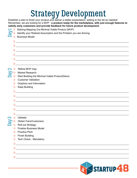## **Strategy Development**

Establish a plan to finish your product and deliver a stellar presentation, adding to the list as needed! Remember, we are looking for a MVP - a product ready for the marketplace, with just enough features to<br>satisfy early customers and provide feedback for future product development

|  | Ő          | satisty early customers and provide reedback for future product development.<br>Starting Mapping Out Minimal Viable Product (MVP) |
|--|------------|-----------------------------------------------------------------------------------------------------------------------------------|
|  |            | Identify your Riskiest Assumption and the Problem you are Solving                                                                 |
|  |            | <b>Business Model</b>                                                                                                             |
|  | $\circ$    | <u> 2008 - Jan Barbara, martxa al II-lea (h. 1888).</u>                                                                           |
|  |            |                                                                                                                                   |
|  |            |                                                                                                                                   |
|  |            | <u> 1980 - Johann John Stein, markin fan it fjort fan it fjort fan it fjort fan it fjort fan it fjort fan it fjort</u>            |
|  |            | <u> 1980 - Jan James James Barnett, amerikan basar dan berasal di sebagai pertama di sebagai pertama di sebagai p</u>             |
|  |            | <u> 1989 - Johann Barn, amerikansk politiker (d. 1989)</u>                                                                        |
|  | $\circ$    | Refine MVP map                                                                                                                    |
|  |            | <b>Market Research</b>                                                                                                            |
|  |            | Start Building the Minimal Viable Product/Demo                                                                                    |
|  | $\Omega$   | <b>Customer Validation</b>                                                                                                        |
|  | $\circ$    | Graphics and Information                                                                                                          |
|  | $\circ$    | <b>Keep Building</b>                                                                                                              |
|  | $\circ$    |                                                                                                                                   |
|  | $\circ$    |                                                                                                                                   |
|  |            | <u> 1980 - Jan Stein, amerikan bestean ing disebut di parti di parti di parti di parti di parti di parti di parti</u>             |
|  |            | <u> 1989 - Johann Stoff, amerikansk politiker (d. 1989)</u>                                                                       |
|  | $\circ$    | <u> 1980 - Jan James James Barnett, amerikan basar dan bagi dan basa dan bagi dan basa dan bagi dan bagi dan ba</u>               |
|  |            |                                                                                                                                   |
|  |            | Validate                                                                                                                          |
|  |            | <b>Obtain Fans/Customers</b>                                                                                                      |
|  |            | <b>Roll-out Strategy</b>                                                                                                          |
|  | O          | <b>Finalize Business Model</b>                                                                                                    |
|  | $\Omega$   | <b>Practice Pitch</b>                                                                                                             |
|  | $\circ$    | <b>Finish Building</b>                                                                                                            |
|  | $\circ$    | <b>Tech Check - Mandatory</b>                                                                                                     |
|  | $\bigcirc$ | <u> 1988 - Johann Barn, fransk politik formuler (d. 1988)</u>                                                                     |
|  |            | <u> 1989 - Johann Stein, mars ar breithinn ar chwaraeth a bhaile ann an 1980.</u>                                                 |
|  |            | <u> 1989 - Johann John Stone, mars and de Brasilian (b. 1989)</u>                                                                 |
|  | $\bullet$  | <u> 1989 - Johann Harry Harry Harry Harry Harry Harry Harry Harry Harry Harry Harry Harry Harry Harry Harry Harry</u>             |
|  |            |                                                                                                                                   |

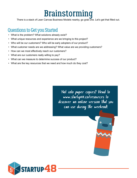## Brainstorming

There is a stack of Lean Canvas Business Models nearby, go grab one. Let's get that filled out.

### Questions to Get you Started

- What is the problem? What solutions already exist?
- What unique resources and experience are we bringing to this project?
- Who will be our customers? Who will be early adopters of our product?
- What customer needs are we addressing? What value are we providing customers?
- How can we most effectively reach our customers?
- What are our customers really willing to pay?
- What can we measure to determine success of our product?
- What are the key resources that we need and how much do they cost?

Not into paper copies? Head to www.startup48.co/resources to discover an online version that you can use during the weekend!



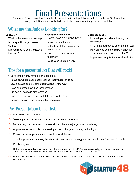## Final Presentations

You made it! Each team has 5 minutes to present their startup, followed with 5 minutes of Q&A from the judging panel. Double check that all your technology is working prior to presentations!

### What are the Judges Looking for?

#### **Validation**

- What problem are you solving?
- Is the specific target market defined?
- Did you receive useful customer feedback?

#### **Execution and Design**

- Do you have a functional MVP?
- Is your product useful?
- Is the User Interface clean and easy to use?
- Does the team work well together?
- Does your solution work?

#### **Business Model**

- How will you stand apart from your competition?
- What's the strategy to enter the market?
- How are you going to make money for your business and your investors?
- Is your user acquisition model realistic?

### Tips for a presentation that will rock!

- Save time by only having 1 or 2 speakers
- Focus on what's been accomplished not what's left to do
- Leave details and in-depth explanations for the Q&A
- Have all demos saved on local devices
- Preload all pages in different tabs
- Don't make any claims without data to back them up
- Practice, practice and then practice some more

### Pre-Presentation Checklist

- $\bigcirc$  Decide who will be talking
- $\bigcirc$  Save any examples or demos to a local device such as a laptop
- $\bigcirc$  Make sure your presentation covers all the criteria the judges are considering
- $\bigcirc$  Appoint someone who is not speaking to be in charge of running technology
- $\bigcirc$  Pre-load all examples and demos onto a local device
- $\bigcirc$  Time the presentation, using the visual aids and any technology make sure it doesn't exceed 5 minutes
- $\bigcirc$  Practice again
- **O** Determine who will answer what questions during the QandA (for example; Who will answer questions about the business model? Who will answer a question about user experience?)
- $\bigcirc$  Relax the judges are super excited to hear about your idea and this presentation will be over before you know it!